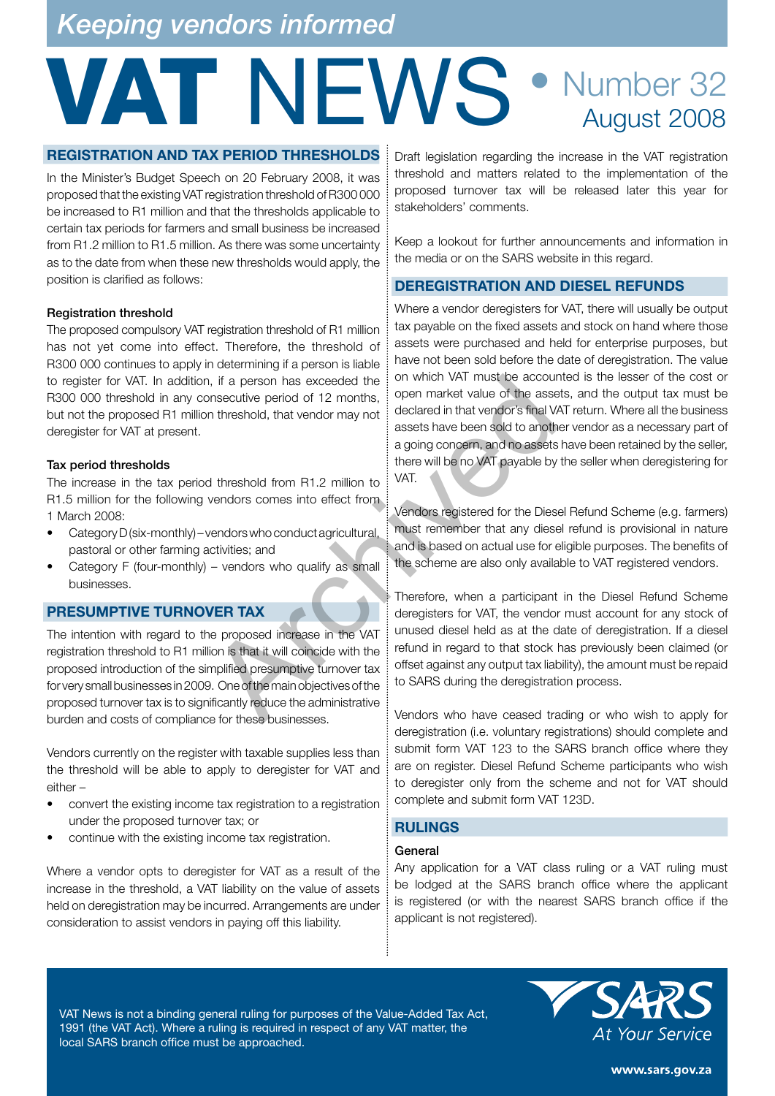## *Keeping vendors informed*

## VAT NEWS • Number 32 August 2008

#### **REGISTRATION AND TAX PERIOD THRESHOLDS**

In the Minister's Budget Speech on 20 February 2008, it was proposed that the existing VAT registration threshold of R300 000 be increased to R1 million and that the thresholds applicable to certain tax periods for farmers and small business be increased from R1.2 million to R1.5 million. As there was some uncertainty as to the date from when these new thresholds would apply, the position is clarified as follows:

#### Registration threshold

The proposed compulsory VAT registration threshold of R1 million has not yet come into effect. Therefore, the threshold of R300 000 continues to apply in determining if a person is liable to register for VAT. In addition, if a person has exceeded the R300 000 threshold in any consecutive period of 12 months, but not the proposed R1 million threshold, that vendor may not deregister for VAT at present.

#### Tax period thresholds

The increase in the tax period threshold from R1.2 million to R1.5 million for the following vendors comes into effect from 1 March 2008:

- Category D (six-monthly) vendors who conduct agricultural, pastoral or other farming activities; and
- Category F (four-monthly) vendors who qualify as small businesses.

#### **PRESUMPTIVE TURNOVER TAX**

The intention with regard to the proposed increase in the VAT registration threshold to R1 million is that it will coincide with the proposed introduction of the simplified presumptive turnover tax for very small businesses in 2009. One of the main objectives of the proposed turnover tax is to significantly reduce the administrative burden and costs of compliance for these businesses.

Vendors currently on the register with taxable supplies less than the threshold will be able to apply to deregister for VAT and either –

- convert the existing income tax registration to a registration under the proposed turnover tax; or
- continue with the existing income tax registration.

Where a vendor opts to deregister for VAT as a result of the increase in the threshold, a VAT liability on the value of assets held on deregistration may be incurred. Arrangements are under consideration to assist vendors in paying off this liability.

Draft legislation regarding the increase in the VAT registration threshold and matters related to the implementation of the proposed turnover tax will be released later this year for stakeholders' comments.

Keep a lookout for further announcements and information in the media or on the SARS website in this regard.

#### **DEREGISTRATION AND DIESEL REFUNDS**

Where a vendor deregisters for VAT, there will usually be output tax payable on the fixed assets and stock on hand where those assets were purchased and held for enterprise purposes, but have not been sold before the date of deregistration. The value on which VAT must be accounted is the lesser of the cost or open market value of the assets, and the output tax must be declared in that vendor's final VAT return. Where all the business assets have been sold to another vendor as a necessary part of a going concern, and no assets have been retained by the seller, there will be no VAT payable by the seller when deregistering for VAT. Internation of the second in that the discoveries of the second in the shold, that vendor may not all that we do the assess have been sold to another and the second to another and the second to another and the second to a

Vendors registered for the Diesel Refund Scheme (e.g. farmers) must remember that any diesel refund is provisional in nature and is based on actual use for eligible purposes. The benefits of the scheme are also only available to VAT registered vendors.

Therefore, when a participant in the Diesel Refund Scheme deregisters for VAT, the vendor must account for any stock of unused diesel held as at the date of deregistration. If a diesel refund in regard to that stock has previously been claimed (or offset against any output tax liability), the amount must be repaid to SARS during the deregistration process.

Vendors who have ceased trading or who wish to apply for deregistration (i.e. voluntary registrations) should complete and submit form VAT 123 to the SARS branch office where they are on register. Diesel Refund Scheme participants who wish to deregister only from the scheme and not for VAT should complete and submit form VAT 123D.

#### **RULINGS**

#### General

Any application for a VAT class ruling or a VAT ruling must be lodged at the SARS branch office where the applicant is registered (or with the nearest SARS branch office if the applicant is not registered).

VAT News is not a binding general ruling for purposes of the Value-Added Tax Act, 1991 (the VAT Act). Where a ruling is required in respect of any VAT matter, the local SARS branch office must be approached.



www.sars.gov.za